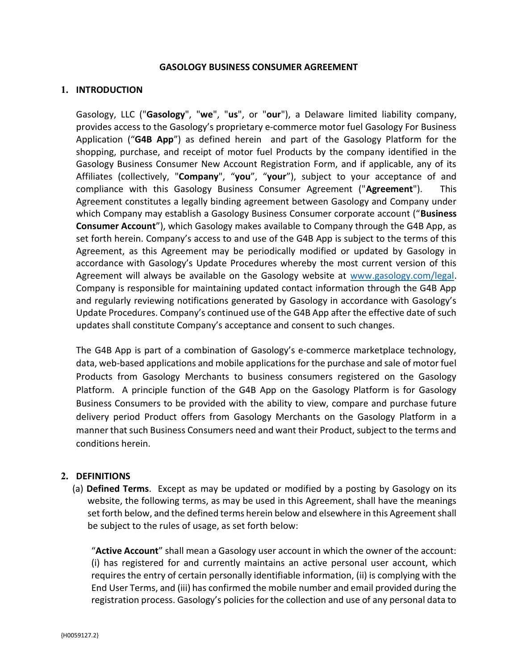#### GASOLOGY BUSINESS CONSUMER AGREEMENT

#### 1. INTRODUCTION

Gasology, LLC ("Gasology", "we", "us", or "our"), a Delaware limited liability company, provides access to the Gasology's proprietary e-commerce motor fuel Gasology For Business Application ("G4B App") as defined herein and part of the Gasology Platform for the shopping, purchase, and receipt of motor fuel Products by the company identified in the Gasology Business Consumer New Account Registration Form, and if applicable, any of its Affiliates (collectively, "Company", "you", "your"), subject to your acceptance of and compliance with this Gasology Business Consumer Agreement ("Agreement"). This Agreement constitutes a legally binding agreement between Gasology and Company under which Company may establish a Gasology Business Consumer corporate account ("Business Consumer Account"), which Gasology makes available to Company through the G4B App, as set forth herein. Company's access to and use of the G4B App is subject to the terms of this Agreement, as this Agreement may be periodically modified or updated by Gasology in accordance with Gasology's Update Procedures whereby the most current version of this Agreement will always be available on the Gasology website at www.gasology.com/legal. Company is responsible for maintaining updated contact information through the G4B App and regularly reviewing notifications generated by Gasology in accordance with Gasology's Update Procedures. Company's continued use of the G4B App after the effective date of such updates shall constitute Company's acceptance and consent to such changes.

The G4B App is part of a combination of Gasology's e-commerce marketplace technology, data, web-based applications and mobile applications for the purchase and sale of motor fuel Products from Gasology Merchants to business consumers registered on the Gasology Platform. A principle function of the G4B App on the Gasology Platform is for Gasology Business Consumers to be provided with the ability to view, compare and purchase future delivery period Product offers from Gasology Merchants on the Gasology Platform in a manner that such Business Consumers need and want their Product, subject to the terms and conditions herein.

#### 2. DEFINITIONS

(a) Defined Terms. Except as may be updated or modified by a posting by Gasology on its website, the following terms, as may be used in this Agreement, shall have the meanings set forth below, and the defined terms herein below and elsewhere in this Agreement shall be subject to the rules of usage, as set forth below:

"Active Account" shall mean a Gasology user account in which the owner of the account: (i) has registered for and currently maintains an active personal user account, which requires the entry of certain personally identifiable information, (ii) is complying with the End User Terms, and (iii) has confirmed the mobile number and email provided during the registration process. Gasology's policies for the collection and use of any personal data to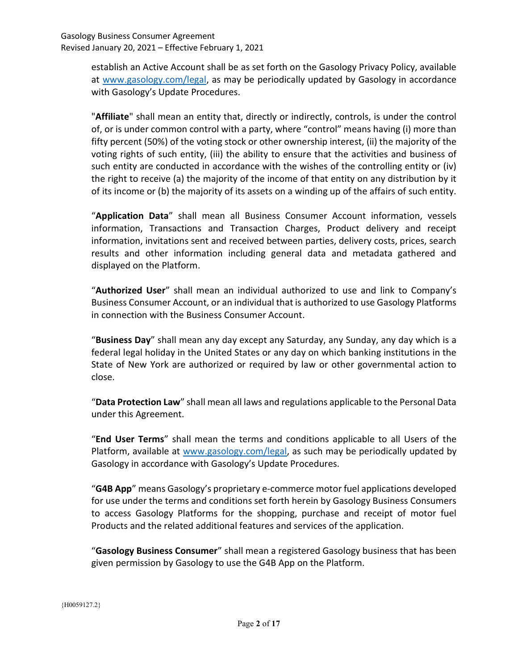> establish an Active Account shall be as set forth on the Gasology Privacy Policy, available at www.gasology.com/legal, as may be periodically updated by Gasology in accordance with Gasology's Update Procedures.

> "Affiliate" shall mean an entity that, directly or indirectly, controls, is under the control of, or is under common control with a party, where "control" means having (i) more than fifty percent (50%) of the voting stock or other ownership interest, (ii) the majority of the voting rights of such entity, (iii) the ability to ensure that the activities and business of such entity are conducted in accordance with the wishes of the controlling entity or (iv) the right to receive (a) the majority of the income of that entity on any distribution by it of its income or (b) the majority of its assets on a winding up of the affairs of such entity.

> "Application Data" shall mean all Business Consumer Account information, vessels information, Transactions and Transaction Charges, Product delivery and receipt information, invitations sent and received between parties, delivery costs, prices, search results and other information including general data and metadata gathered and displayed on the Platform.

> "Authorized User" shall mean an individual authorized to use and link to Company's Business Consumer Account, or an individual that is authorized to use Gasology Platforms in connection with the Business Consumer Account.

> "Business Day" shall mean any day except any Saturday, any Sunday, any day which is a federal legal holiday in the United States or any day on which banking institutions in the State of New York are authorized or required by law or other governmental action to close.

> "Data Protection Law" shall mean all laws and regulations applicable to the Personal Data under this Agreement.

> "End User Terms" shall mean the terms and conditions applicable to all Users of the Platform, available at www.gasology.com/legal, as such may be periodically updated by Gasology in accordance with Gasology's Update Procedures.

> "G4B App" means Gasology's proprietary e-commerce motor fuel applications developed for use under the terms and conditions set forth herein by Gasology Business Consumers to access Gasology Platforms for the shopping, purchase and receipt of motor fuel Products and the related additional features and services of the application.

> "Gasology Business Consumer" shall mean a registered Gasology business that has been given permission by Gasology to use the G4B App on the Platform.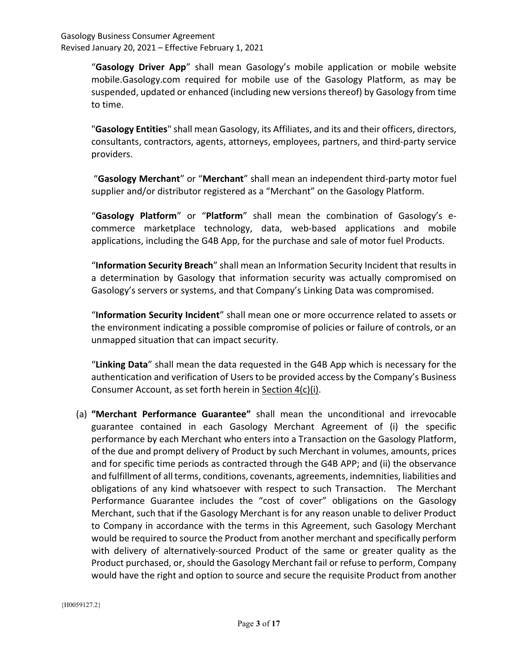> "Gasology Driver App" shall mean Gasology's mobile application or mobile website mobile.Gasology.com required for mobile use of the Gasology Platform, as may be suspended, updated or enhanced (including new versions thereof) by Gasology from time to time.

> "Gasology Entities" shall mean Gasology, its Affiliates, and its and their officers, directors, consultants, contractors, agents, attorneys, employees, partners, and third-party service providers.

> "Gasology Merchant" or "Merchant" shall mean an independent third-party motor fuel supplier and/or distributor registered as a "Merchant" on the Gasology Platform.

> "Gasology Platform" or "Platform" shall mean the combination of Gasology's ecommerce marketplace technology, data, web-based applications and mobile applications, including the G4B App, for the purchase and sale of motor fuel Products.

> "Information Security Breach" shall mean an Information Security Incident that results in a determination by Gasology that information security was actually compromised on Gasology's servers or systems, and that Company's Linking Data was compromised.

> "Information Security Incident" shall mean one or more occurrence related to assets or the environment indicating a possible compromise of policies or failure of controls, or an unmapped situation that can impact security.

> "Linking Data" shall mean the data requested in the G4B App which is necessary for the authentication and verification of Users to be provided access by the Company's Business Consumer Account, as set forth herein in Section 4(c)(i).

(a) "Merchant Performance Guarantee" shall mean the unconditional and irrevocable guarantee contained in each Gasology Merchant Agreement of (i) the specific performance by each Merchant who enters into a Transaction on the Gasology Platform, of the due and prompt delivery of Product by such Merchant in volumes, amounts, prices and for specific time periods as contracted through the G4B APP; and (ii) the observance and fulfillment of all terms, conditions, covenants, agreements, indemnities, liabilities and obligations of any kind whatsoever with respect to such Transaction. The Merchant Performance Guarantee includes the "cost of cover" obligations on the Gasology Merchant, such that if the Gasology Merchant is for any reason unable to deliver Product to Company in accordance with the terms in this Agreement, such Gasology Merchant would be required to source the Product from another merchant and specifically perform with delivery of alternatively-sourced Product of the same or greater quality as the Product purchased, or, should the Gasology Merchant fail or refuse to perform, Company would have the right and option to source and secure the requisite Product from another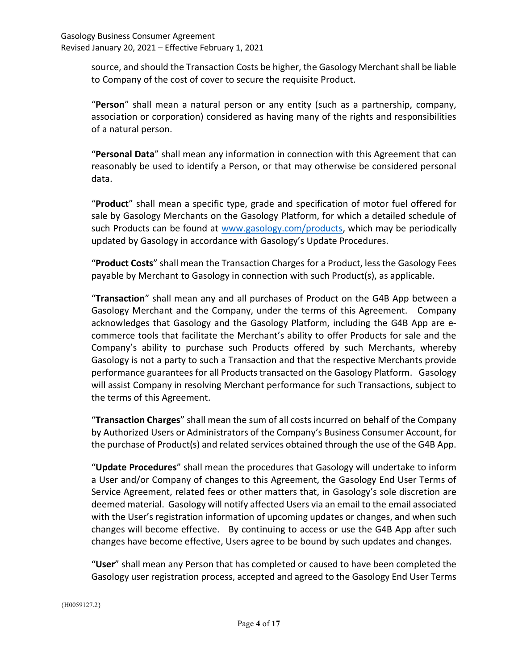source, and should the Transaction Costs be higher, the Gasology Merchant shall be liable to Company of the cost of cover to secure the requisite Product.

"Person" shall mean a natural person or any entity (such as a partnership, company, association or corporation) considered as having many of the rights and responsibilities of a natural person.

"Personal Data" shall mean any information in connection with this Agreement that can reasonably be used to identify a Person, or that may otherwise be considered personal data.

"Product" shall mean a specific type, grade and specification of motor fuel offered for sale by Gasology Merchants on the Gasology Platform, for which a detailed schedule of such Products can be found at www.gasology.com/products, which may be periodically updated by Gasology in accordance with Gasology's Update Procedures.

"Product Costs" shall mean the Transaction Charges for a Product, less the Gasology Fees payable by Merchant to Gasology in connection with such Product(s), as applicable.

"Transaction" shall mean any and all purchases of Product on the G4B App between a Gasology Merchant and the Company, under the terms of this Agreement. Company acknowledges that Gasology and the Gasology Platform, including the G4B App are ecommerce tools that facilitate the Merchant's ability to offer Products for sale and the Company's ability to purchase such Products offered by such Merchants, whereby Gasology is not a party to such a Transaction and that the respective Merchants provide performance guarantees for all Products transacted on the Gasology Platform. Gasology will assist Company in resolving Merchant performance for such Transactions, subject to the terms of this Agreement.

"Transaction Charges" shall mean the sum of all costs incurred on behalf of the Company by Authorized Users or Administrators of the Company's Business Consumer Account, for the purchase of Product(s) and related services obtained through the use of the G4B App.

"Update Procedures" shall mean the procedures that Gasology will undertake to inform a User and/or Company of changes to this Agreement, the Gasology End User Terms of Service Agreement, related fees or other matters that, in Gasology's sole discretion are deemed material. Gasology will notify affected Users via an email to the email associated with the User's registration information of upcoming updates or changes, and when such changes will become effective. By continuing to access or use the G4B App after such changes have become effective, Users agree to be bound by such updates and changes.

"User" shall mean any Person that has completed or caused to have been completed the Gasology user registration process, accepted and agreed to the Gasology End User Terms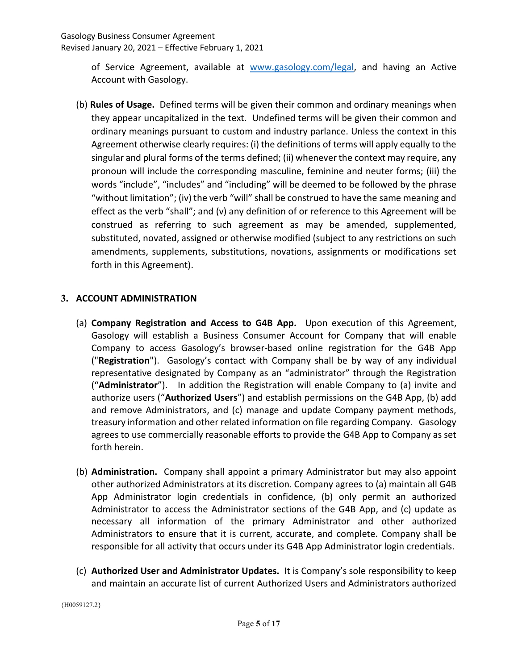of Service Agreement, available at www.gasology.com/legal, and having an Active Account with Gasology.

(b) Rules of Usage. Defined terms will be given their common and ordinary meanings when they appear uncapitalized in the text. Undefined terms will be given their common and ordinary meanings pursuant to custom and industry parlance. Unless the context in this Agreement otherwise clearly requires: (i) the definitions of terms will apply equally to the singular and plural forms of the terms defined; (ii) whenever the context may require, any pronoun will include the corresponding masculine, feminine and neuter forms; (iii) the words "include", "includes" and "including" will be deemed to be followed by the phrase "without limitation"; (iv) the verb "will" shall be construed to have the same meaning and effect as the verb "shall"; and (v) any definition of or reference to this Agreement will be construed as referring to such agreement as may be amended, supplemented, substituted, novated, assigned or otherwise modified (subject to any restrictions on such amendments, supplements, substitutions, novations, assignments or modifications set forth in this Agreement).

# 3. ACCOUNT ADMINISTRATION

- (a) Company Registration and Access to G4B App. Upon execution of this Agreement, Gasology will establish a Business Consumer Account for Company that will enable Company to access Gasology's browser-based online registration for the G4B App ("Registration"). Gasology's contact with Company shall be by way of any individual representative designated by Company as an "administrator" through the Registration ("Administrator"). In addition the Registration will enable Company to (a) invite and authorize users ("Authorized Users") and establish permissions on the G4B App, (b) add and remove Administrators, and (c) manage and update Company payment methods, treasury information and other related information on file regarding Company. Gasology agrees to use commercially reasonable efforts to provide the G4B App to Company as set forth herein.
- (b) Administration. Company shall appoint a primary Administrator but may also appoint other authorized Administrators at its discretion. Company agrees to (a) maintain all G4B App Administrator login credentials in confidence, (b) only permit an authorized Administrator to access the Administrator sections of the G4B App, and (c) update as necessary all information of the primary Administrator and other authorized Administrators to ensure that it is current, accurate, and complete. Company shall be responsible for all activity that occurs under its G4B App Administrator login credentials.
- (c) Authorized User and Administrator Updates. It is Company's sole responsibility to keep and maintain an accurate list of current Authorized Users and Administrators authorized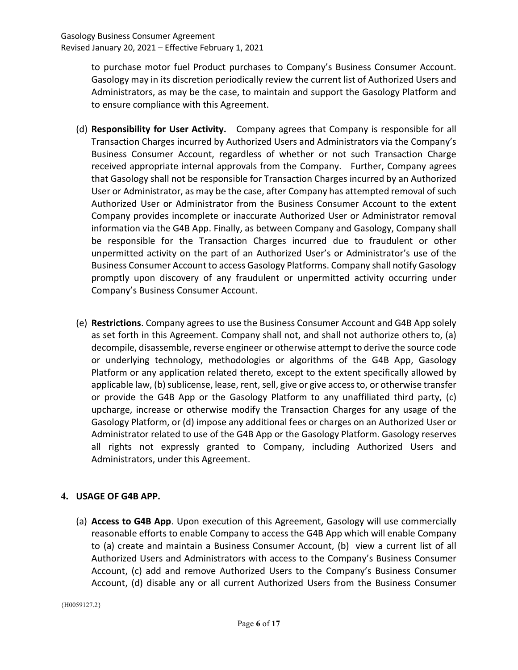to purchase motor fuel Product purchases to Company's Business Consumer Account. Gasology may in its discretion periodically review the current list of Authorized Users and Administrators, as may be the case, to maintain and support the Gasology Platform and to ensure compliance with this Agreement.

- (d) Responsibility for User Activity. Company agrees that Company is responsible for all Transaction Charges incurred by Authorized Users and Administrators via the Company's Business Consumer Account, regardless of whether or not such Transaction Charge received appropriate internal approvals from the Company. Further, Company agrees that Gasology shall not be responsible for Transaction Charges incurred by an Authorized User or Administrator, as may be the case, after Company has attempted removal of such Authorized User or Administrator from the Business Consumer Account to the extent Company provides incomplete or inaccurate Authorized User or Administrator removal information via the G4B App. Finally, as between Company and Gasology, Company shall be responsible for the Transaction Charges incurred due to fraudulent or other unpermitted activity on the part of an Authorized User's or Administrator's use of the Business Consumer Account to access Gasology Platforms. Company shall notify Gasology promptly upon discovery of any fraudulent or unpermitted activity occurring under Company's Business Consumer Account.
- (e) Restrictions. Company agrees to use the Business Consumer Account and G4B App solely as set forth in this Agreement. Company shall not, and shall not authorize others to, (a) decompile, disassemble, reverse engineer or otherwise attempt to derive the source code or underlying technology, methodologies or algorithms of the G4B App, Gasology Platform or any application related thereto, except to the extent specifically allowed by applicable law, (b) sublicense, lease, rent, sell, give or give access to, or otherwise transfer or provide the G4B App or the Gasology Platform to any unaffiliated third party, (c) upcharge, increase or otherwise modify the Transaction Charges for any usage of the Gasology Platform, or (d) impose any additional fees or charges on an Authorized User or Administrator related to use of the G4B App or the Gasology Platform. Gasology reserves all rights not expressly granted to Company, including Authorized Users and Administrators, under this Agreement.

# 4. USAGE OF G4B APP.

(a) Access to G4B App. Upon execution of this Agreement, Gasology will use commercially reasonable efforts to enable Company to access the G4B App which will enable Company to (a) create and maintain a Business Consumer Account, (b) view a current list of all Authorized Users and Administrators with access to the Company's Business Consumer Account, (c) add and remove Authorized Users to the Company's Business Consumer Account, (d) disable any or all current Authorized Users from the Business Consumer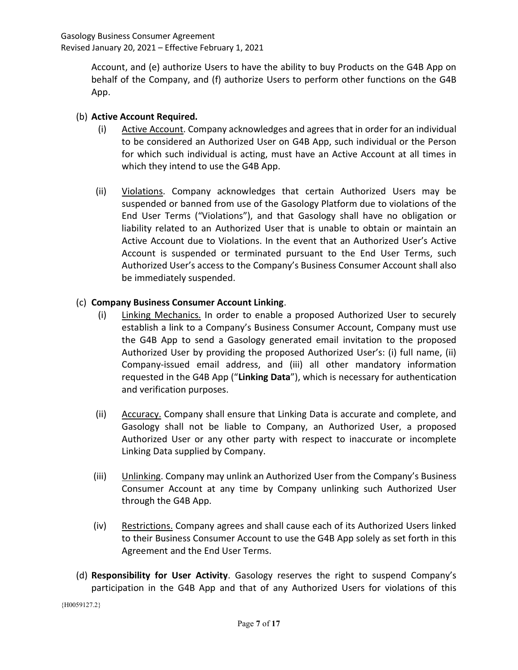Account, and (e) authorize Users to have the ability to buy Products on the G4B App on behalf of the Company, and (f) authorize Users to perform other functions on the G4B App.

# (b) Active Account Required.

- (i) Active Account. Company acknowledges and agrees that in order for an individual to be considered an Authorized User on G4B App, such individual or the Person for which such individual is acting, must have an Active Account at all times in which they intend to use the G4B App.
- (ii) Violations. Company acknowledges that certain Authorized Users may be suspended or banned from use of the Gasology Platform due to violations of the End User Terms ("Violations"), and that Gasology shall have no obligation or liability related to an Authorized User that is unable to obtain or maintain an Active Account due to Violations. In the event that an Authorized User's Active Account is suspended or terminated pursuant to the End User Terms, such Authorized User's access to the Company's Business Consumer Account shall also be immediately suspended.

#### (c) Company Business Consumer Account Linking.

- (i) Linking Mechanics. In order to enable a proposed Authorized User to securely establish a link to a Company's Business Consumer Account, Company must use the G4B App to send a Gasology generated email invitation to the proposed Authorized User by providing the proposed Authorized User's: (i) full name, (ii) Company-issued email address, and (iii) all other mandatory information requested in the G4B App ("Linking Data"), which is necessary for authentication and verification purposes.
- (ii) Accuracy. Company shall ensure that Linking Data is accurate and complete, and Gasology shall not be liable to Company, an Authorized User, a proposed Authorized User or any other party with respect to inaccurate or incomplete Linking Data supplied by Company.
- (iii) Unlinking. Company may unlink an Authorized User from the Company's Business Consumer Account at any time by Company unlinking such Authorized User through the G4B App.
- (iv) Restrictions. Company agrees and shall cause each of its Authorized Users linked to their Business Consumer Account to use the G4B App solely as set forth in this Agreement and the End User Terms.
- (d) Responsibility for User Activity. Gasology reserves the right to suspend Company's participation in the G4B App and that of any Authorized Users for violations of this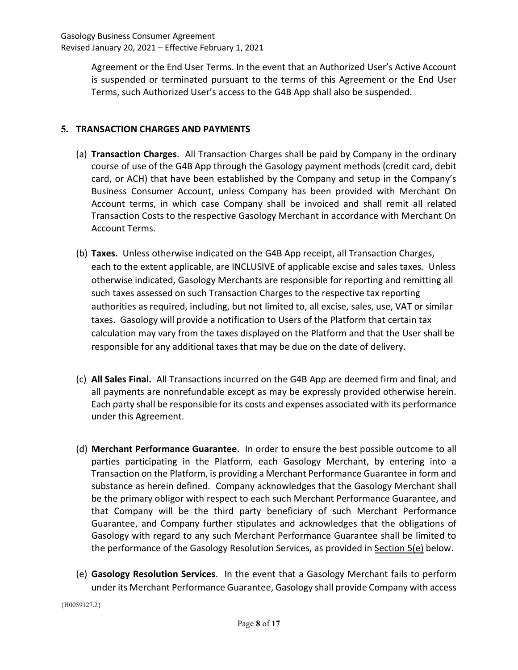Agreement or the End User Terms. In the event that an Authorized User's Active Account is suspended or terminated pursuant to the terms of this Agreement or the End User Terms, such Authorized User's access to the G4B App shall also be suspended.

# 5. TRANSACTION CHARGES AND PAYMENTS

- (a) Transaction Charges. All Transaction Charges shall be paid by Company in the ordinary course of use of the G4B App through the Gasology payment methods (credit card, debit card, or ACH) that have been established by the Company and setup in the Company's Business Consumer Account, unless Company has been provided with Merchant On Account terms, in which case Company shall be invoiced and shall remit all related Transaction Costs to the respective Gasology Merchant in accordance with Merchant On Account Terms.
- (b) Taxes. Unless otherwise indicated on the G4B App receipt, all Transaction Charges, each to the extent applicable, are INCLUSIVE of applicable excise and sales taxes. Unless otherwise indicated, Gasology Merchants are responsible for reporting and remitting all such taxes assessed on such Transaction Charges to the respective tax reporting authorities as required, including, but not limited to, all excise, sales, use, VAT or similar taxes. Gasology will provide a notification to Users of the Platform that certain tax calculation may vary from the taxes displayed on the Platform and that the User shall be responsible for any additional taxes that may be due on the date of delivery.
- (c) All Sales Final. All Transactions incurred on the G4B App are deemed firm and final, and all payments are nonrefundable except as may be expressly provided otherwise herein. Each party shall be responsible for its costs and expenses associated with its performance under this Agreement.
- (d) Merchant Performance Guarantee. In order to ensure the best possible outcome to all parties participating in the Platform, each Gasology Merchant, by entering into a Transaction on the Platform, is providing a Merchant Performance Guarantee in form and substance as herein defined. Company acknowledges that the Gasology Merchant shall be the primary obligor with respect to each such Merchant Performance Guarantee, and that Company will be the third party beneficiary of such Merchant Performance Guarantee, and Company further stipulates and acknowledges that the obligations of Gasology with regard to any such Merchant Performance Guarantee shall be limited to the performance of the Gasology Resolution Services, as provided in Section 5(e) below.
- (e) Gasology Resolution Services. In the event that a Gasology Merchant fails to perform under its Merchant Performance Guarantee, Gasology shall provide Company with access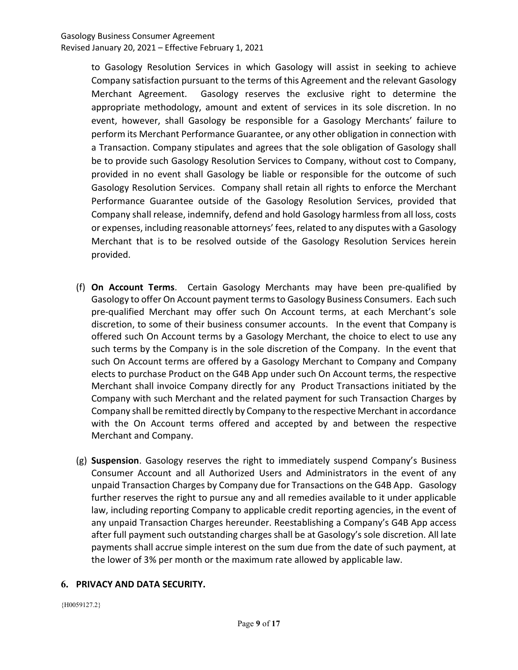to Gasology Resolution Services in which Gasology will assist in seeking to achieve Company satisfaction pursuant to the terms of this Agreement and the relevant Gasology Merchant Agreement. Gasology reserves the exclusive right to determine the appropriate methodology, amount and extent of services in its sole discretion. In no event, however, shall Gasology be responsible for a Gasology Merchants' failure to perform its Merchant Performance Guarantee, or any other obligation in connection with a Transaction. Company stipulates and agrees that the sole obligation of Gasology shall be to provide such Gasology Resolution Services to Company, without cost to Company, provided in no event shall Gasology be liable or responsible for the outcome of such Gasology Resolution Services. Company shall retain all rights to enforce the Merchant Performance Guarantee outside of the Gasology Resolution Services, provided that Company shall release, indemnify, defend and hold Gasology harmless from all loss, costs or expenses, including reasonable attorneys' fees, related to any disputes with a Gasology Merchant that is to be resolved outside of the Gasology Resolution Services herein provided.

- (f) On Account Terms. Certain Gasology Merchants may have been pre-qualified by Gasology to offer On Account payment terms to Gasology Business Consumers. Each such pre-qualified Merchant may offer such On Account terms, at each Merchant's sole discretion, to some of their business consumer accounts. In the event that Company is offered such On Account terms by a Gasology Merchant, the choice to elect to use any such terms by the Company is in the sole discretion of the Company. In the event that such On Account terms are offered by a Gasology Merchant to Company and Company elects to purchase Product on the G4B App under such On Account terms, the respective Merchant shall invoice Company directly for any Product Transactions initiated by the Company with such Merchant and the related payment for such Transaction Charges by Company shall be remitted directly by Company to the respective Merchant in accordance with the On Account terms offered and accepted by and between the respective Merchant and Company.
- (g) Suspension. Gasology reserves the right to immediately suspend Company's Business Consumer Account and all Authorized Users and Administrators in the event of any unpaid Transaction Charges by Company due for Transactions on the G4B App. Gasology further reserves the right to pursue any and all remedies available to it under applicable law, including reporting Company to applicable credit reporting agencies, in the event of any unpaid Transaction Charges hereunder. Reestablishing a Company's G4B App access after full payment such outstanding charges shall be at Gasology's sole discretion. All late payments shall accrue simple interest on the sum due from the date of such payment, at the lower of 3% per month or the maximum rate allowed by applicable law.

#### 6. PRIVACY AND DATA SECURITY.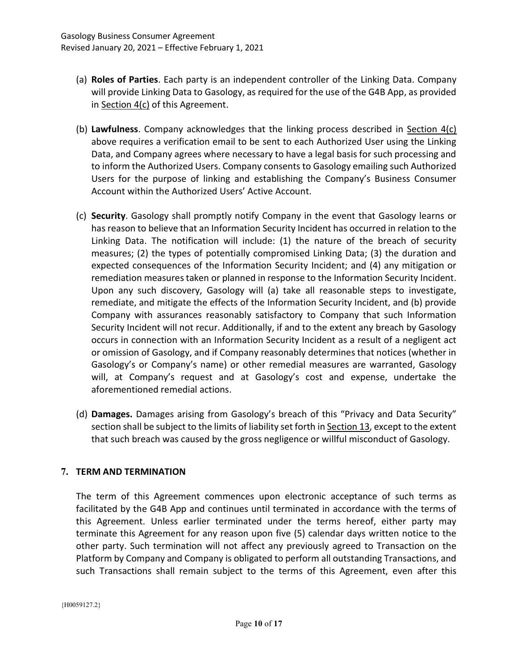- (a) Roles of Parties. Each party is an independent controller of the Linking Data. Company will provide Linking Data to Gasology, as required for the use of the G4B App, as provided in Section 4(c) of this Agreement.
- (b) Lawfulness. Company acknowledges that the linking process described in Section  $4(c)$ above requires a verification email to be sent to each Authorized User using the Linking Data, and Company agrees where necessary to have a legal basis for such processing and to inform the Authorized Users. Company consents to Gasology emailing such Authorized Users for the purpose of linking and establishing the Company's Business Consumer Account within the Authorized Users' Active Account.
- (c) Security. Gasology shall promptly notify Company in the event that Gasology learns or has reason to believe that an Information Security Incident has occurred in relation to the Linking Data. The notification will include: (1) the nature of the breach of security measures; (2) the types of potentially compromised Linking Data; (3) the duration and expected consequences of the Information Security Incident; and (4) any mitigation or remediation measures taken or planned in response to the Information Security Incident. Upon any such discovery, Gasology will (a) take all reasonable steps to investigate, remediate, and mitigate the effects of the Information Security Incident, and (b) provide Company with assurances reasonably satisfactory to Company that such Information Security Incident will not recur. Additionally, if and to the extent any breach by Gasology occurs in connection with an Information Security Incident as a result of a negligent act or omission of Gasology, and if Company reasonably determines that notices (whether in Gasology's or Company's name) or other remedial measures are warranted, Gasology will, at Company's request and at Gasology's cost and expense, undertake the aforementioned remedial actions.
- (d) Damages. Damages arising from Gasology's breach of this "Privacy and Data Security" section shall be subject to the limits of liability set forth in **Section 13**, except to the extent that such breach was caused by the gross negligence or willful misconduct of Gasology.

# 7. TERM AND TERMINATION

The term of this Agreement commences upon electronic acceptance of such terms as facilitated by the G4B App and continues until terminated in accordance with the terms of this Agreement. Unless earlier terminated under the terms hereof, either party may terminate this Agreement for any reason upon five (5) calendar days written notice to the other party. Such termination will not affect any previously agreed to Transaction on the Platform by Company and Company is obligated to perform all outstanding Transactions, and such Transactions shall remain subject to the terms of this Agreement, even after this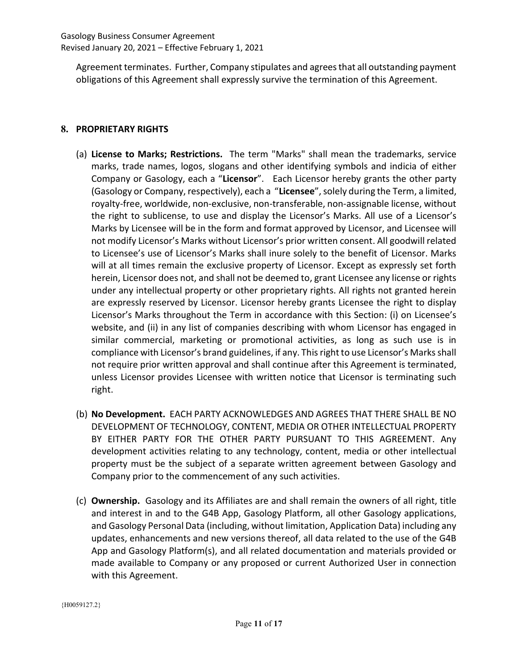Agreement terminates. Further, Company stipulates and agrees that all outstanding payment obligations of this Agreement shall expressly survive the termination of this Agreement.

#### 8. PROPRIETARY RIGHTS

- (a) License to Marks; Restrictions. The term "Marks" shall mean the trademarks, service marks, trade names, logos, slogans and other identifying symbols and indicia of either Company or Gasology, each a "Licensor". Each Licensor hereby grants the other party (Gasology or Company, respectively), each a "Licensee", solely during the Term, a limited, royalty-free, worldwide, non-exclusive, non-transferable, non-assignable license, without the right to sublicense, to use and display the Licensor's Marks. All use of a Licensor's Marks by Licensee will be in the form and format approved by Licensor, and Licensee will not modify Licensor's Marks without Licensor's prior written consent. All goodwill related to Licensee's use of Licensor's Marks shall inure solely to the benefit of Licensor. Marks will at all times remain the exclusive property of Licensor. Except as expressly set forth herein, Licensor does not, and shall not be deemed to, grant Licensee any license or rights under any intellectual property or other proprietary rights. All rights not granted herein are expressly reserved by Licensor. Licensor hereby grants Licensee the right to display Licensor's Marks throughout the Term in accordance with this Section: (i) on Licensee's website, and (ii) in any list of companies describing with whom Licensor has engaged in similar commercial, marketing or promotional activities, as long as such use is in compliance with Licensor's brand guidelines, if any. This right to use Licensor's Marks shall not require prior written approval and shall continue after this Agreement is terminated, unless Licensor provides Licensee with written notice that Licensor is terminating such right.
- (b) No Development. EACH PARTY ACKNOWLEDGES AND AGREES THAT THERE SHALL BE NO DEVELOPMENT OF TECHNOLOGY, CONTENT, MEDIA OR OTHER INTELLECTUAL PROPERTY BY EITHER PARTY FOR THE OTHER PARTY PURSUANT TO THIS AGREEMENT. Any development activities relating to any technology, content, media or other intellectual property must be the subject of a separate written agreement between Gasology and Company prior to the commencement of any such activities.
- (c) Ownership. Gasology and its Affiliates are and shall remain the owners of all right, title and interest in and to the G4B App, Gasology Platform, all other Gasology applications, and Gasology Personal Data (including, without limitation, Application Data) including any updates, enhancements and new versions thereof, all data related to the use of the G4B App and Gasology Platform(s), and all related documentation and materials provided or made available to Company or any proposed or current Authorized User in connection with this Agreement.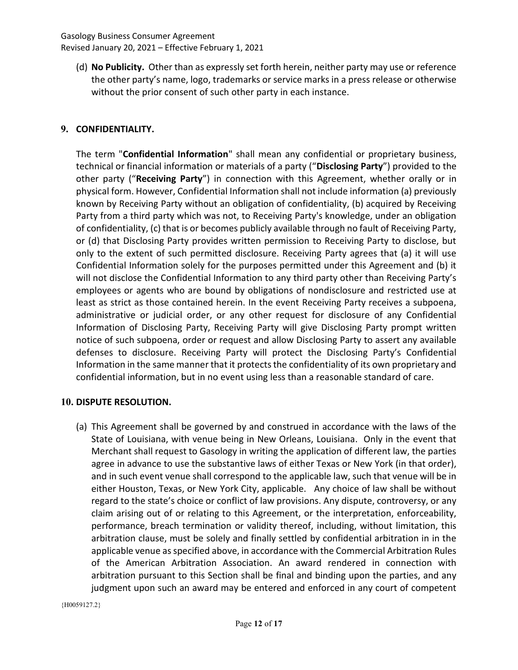(d) No Publicity. Other than as expressly set forth herein, neither party may use or reference the other party's name, logo, trademarks or service marks in a press release or otherwise without the prior consent of such other party in each instance.

#### 9. CONFIDENTIALITY.

The term "Confidential Information" shall mean any confidential or proprietary business, technical or financial information or materials of a party ("Disclosing Party") provided to the other party ("Receiving Party") in connection with this Agreement, whether orally or in physical form. However, Confidential Information shall not include information (a) previously known by Receiving Party without an obligation of confidentiality, (b) acquired by Receiving Party from a third party which was not, to Receiving Party's knowledge, under an obligation of confidentiality, (c) that is or becomes publicly available through no fault of Receiving Party, or (d) that Disclosing Party provides written permission to Receiving Party to disclose, but only to the extent of such permitted disclosure. Receiving Party agrees that (a) it will use Confidential Information solely for the purposes permitted under this Agreement and (b) it will not disclose the Confidential Information to any third party other than Receiving Party's employees or agents who are bound by obligations of nondisclosure and restricted use at least as strict as those contained herein. In the event Receiving Party receives a subpoena, administrative or judicial order, or any other request for disclosure of any Confidential Information of Disclosing Party, Receiving Party will give Disclosing Party prompt written notice of such subpoena, order or request and allow Disclosing Party to assert any available defenses to disclosure. Receiving Party will protect the Disclosing Party's Confidential Information in the same manner that it protects the confidentiality of its own proprietary and confidential information, but in no event using less than a reasonable standard of care.

#### 10. DISPUTE RESOLUTION.

(a) This Agreement shall be governed by and construed in accordance with the laws of the State of Louisiana, with venue being in New Orleans, Louisiana. Only in the event that Merchant shall request to Gasology in writing the application of different law, the parties agree in advance to use the substantive laws of either Texas or New York (in that order), and in such event venue shall correspond to the applicable law, such that venue will be in either Houston, Texas, or New York City, applicable. Any choice of law shall be without regard to the state's choice or conflict of law provisions. Any dispute, controversy, or any claim arising out of or relating to this Agreement, or the interpretation, enforceability, performance, breach termination or validity thereof, including, without limitation, this arbitration clause, must be solely and finally settled by confidential arbitration in in the applicable venue as specified above, in accordance with the Commercial Arbitration Rules of the American Arbitration Association. An award rendered in connection with arbitration pursuant to this Section shall be final and binding upon the parties, and any judgment upon such an award may be entered and enforced in any court of competent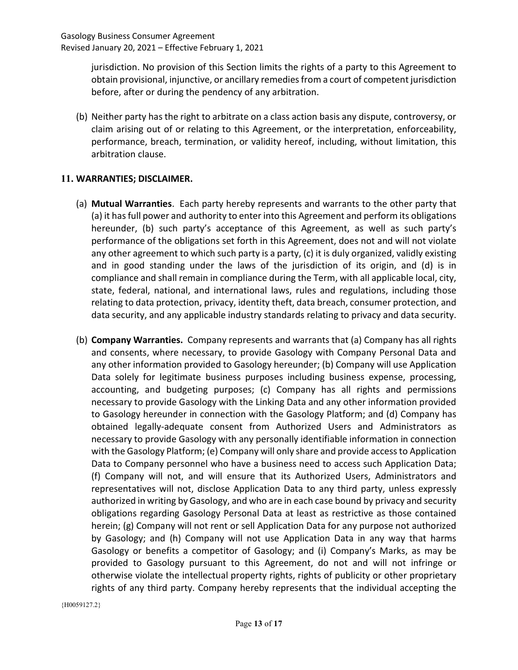jurisdiction. No provision of this Section limits the rights of a party to this Agreement to obtain provisional, injunctive, or ancillary remedies from a court of competent jurisdiction before, after or during the pendency of any arbitration.

(b) Neither party has the right to arbitrate on a class action basis any dispute, controversy, or claim arising out of or relating to this Agreement, or the interpretation, enforceability, performance, breach, termination, or validity hereof, including, without limitation, this arbitration clause.

# 11. WARRANTIES; DISCLAIMER.

- (a) Mutual Warranties. Each party hereby represents and warrants to the other party that (a) it has full power and authority to enter into this Agreement and perform its obligations hereunder, (b) such party's acceptance of this Agreement, as well as such party's performance of the obligations set forth in this Agreement, does not and will not violate any other agreement to which such party is a party, (c) it is duly organized, validly existing and in good standing under the laws of the jurisdiction of its origin, and (d) is in compliance and shall remain in compliance during the Term, with all applicable local, city, state, federal, national, and international laws, rules and regulations, including those relating to data protection, privacy, identity theft, data breach, consumer protection, and data security, and any applicable industry standards relating to privacy and data security.
- (b) Company Warranties. Company represents and warrants that (a) Company has all rights and consents, where necessary, to provide Gasology with Company Personal Data and any other information provided to Gasology hereunder; (b) Company will use Application Data solely for legitimate business purposes including business expense, processing, accounting, and budgeting purposes; (c) Company has all rights and permissions necessary to provide Gasology with the Linking Data and any other information provided to Gasology hereunder in connection with the Gasology Platform; and (d) Company has obtained legally-adequate consent from Authorized Users and Administrators as necessary to provide Gasology with any personally identifiable information in connection with the Gasology Platform; (e) Company will only share and provide access to Application Data to Company personnel who have a business need to access such Application Data; (f) Company will not, and will ensure that its Authorized Users, Administrators and representatives will not, disclose Application Data to any third party, unless expressly authorized in writing by Gasology, and who are in each case bound by privacy and security obligations regarding Gasology Personal Data at least as restrictive as those contained herein; (g) Company will not rent or sell Application Data for any purpose not authorized by Gasology; and (h) Company will not use Application Data in any way that harms Gasology or benefits a competitor of Gasology; and (i) Company's Marks, as may be provided to Gasology pursuant to this Agreement, do not and will not infringe or otherwise violate the intellectual property rights, rights of publicity or other proprietary rights of any third party. Company hereby represents that the individual accepting the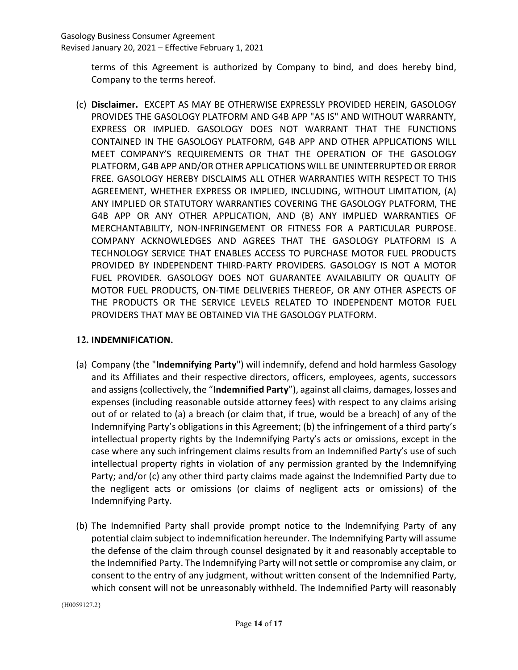terms of this Agreement is authorized by Company to bind, and does hereby bind, Company to the terms hereof.

(c) Disclaimer. EXCEPT AS MAY BE OTHERWISE EXPRESSLY PROVIDED HEREIN, GASOLOGY PROVIDES THE GASOLOGY PLATFORM AND G4B APP "AS IS" AND WITHOUT WARRANTY, EXPRESS OR IMPLIED. GASOLOGY DOES NOT WARRANT THAT THE FUNCTIONS CONTAINED IN THE GASOLOGY PLATFORM, G4B APP AND OTHER APPLICATIONS WILL MEET COMPANY'S REQUIREMENTS OR THAT THE OPERATION OF THE GASOLOGY PLATFORM, G4B APP AND/OR OTHER APPLICATIONS WILL BE UNINTERRUPTED OR ERROR FREE. GASOLOGY HEREBY DISCLAIMS ALL OTHER WARRANTIES WITH RESPECT TO THIS AGREEMENT, WHETHER EXPRESS OR IMPLIED, INCLUDING, WITHOUT LIMITATION, (A) ANY IMPLIED OR STATUTORY WARRANTIES COVERING THE GASOLOGY PLATFORM, THE G4B APP OR ANY OTHER APPLICATION, AND (B) ANY IMPLIED WARRANTIES OF MERCHANTABILITY, NON-INFRINGEMENT OR FITNESS FOR A PARTICULAR PURPOSE. COMPANY ACKNOWLEDGES AND AGREES THAT THE GASOLOGY PLATFORM IS A TECHNOLOGY SERVICE THAT ENABLES ACCESS TO PURCHASE MOTOR FUEL PRODUCTS PROVIDED BY INDEPENDENT THIRD-PARTY PROVIDERS. GASOLOGY IS NOT A MOTOR FUEL PROVIDER. GASOLOGY DOES NOT GUARANTEE AVAILABILITY OR QUALITY OF MOTOR FUEL PRODUCTS, ON-TIME DELIVERIES THEREOF, OR ANY OTHER ASPECTS OF THE PRODUCTS OR THE SERVICE LEVELS RELATED TO INDEPENDENT MOTOR FUEL PROVIDERS THAT MAY BE OBTAINED VIA THE GASOLOGY PLATFORM.

# 12. INDEMNIFICATION.

- (a) Company (the "Indemnifying Party") will indemnify, defend and hold harmless Gasology and its Affiliates and their respective directors, officers, employees, agents, successors and assigns (collectively, the "Indemnified Party"), against all claims, damages, losses and expenses (including reasonable outside attorney fees) with respect to any claims arising out of or related to (a) a breach (or claim that, if true, would be a breach) of any of the Indemnifying Party's obligations in this Agreement; (b) the infringement of a third party's intellectual property rights by the Indemnifying Party's acts or omissions, except in the case where any such infringement claims results from an Indemnified Party's use of such intellectual property rights in violation of any permission granted by the Indemnifying Party; and/or (c) any other third party claims made against the Indemnified Party due to the negligent acts or omissions (or claims of negligent acts or omissions) of the Indemnifying Party.
- (b) The Indemnified Party shall provide prompt notice to the Indemnifying Party of any potential claim subject to indemnification hereunder. The Indemnifying Party will assume the defense of the claim through counsel designated by it and reasonably acceptable to the Indemnified Party. The Indemnifying Party will not settle or compromise any claim, or consent to the entry of any judgment, without written consent of the Indemnified Party, which consent will not be unreasonably withheld. The Indemnified Party will reasonably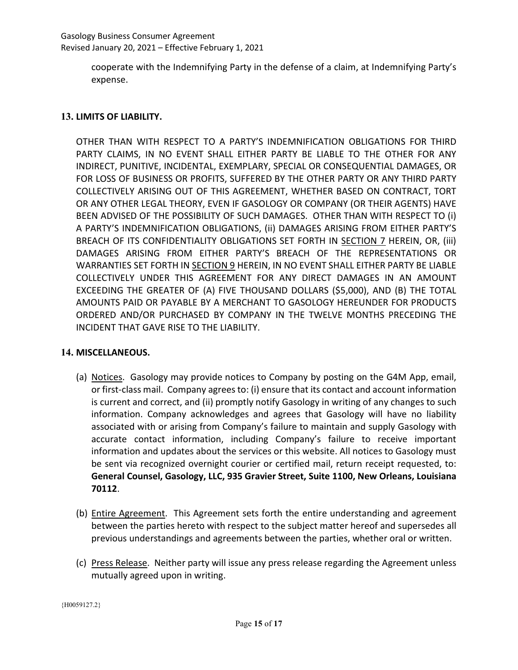cooperate with the Indemnifying Party in the defense of a claim, at Indemnifying Party's expense.

# 13. LIMITS OF LIABILITY.

OTHER THAN WITH RESPECT TO A PARTY'S INDEMNIFICATION OBLIGATIONS FOR THIRD PARTY CLAIMS, IN NO EVENT SHALL EITHER PARTY BE LIABLE TO THE OTHER FOR ANY INDIRECT, PUNITIVE, INCIDENTAL, EXEMPLARY, SPECIAL OR CONSEQUENTIAL DAMAGES, OR FOR LOSS OF BUSINESS OR PROFITS, SUFFERED BY THE OTHER PARTY OR ANY THIRD PARTY COLLECTIVELY ARISING OUT OF THIS AGREEMENT, WHETHER BASED ON CONTRACT, TORT OR ANY OTHER LEGAL THEORY, EVEN IF GASOLOGY OR COMPANY (OR THEIR AGENTS) HAVE BEEN ADVISED OF THE POSSIBILITY OF SUCH DAMAGES. OTHER THAN WITH RESPECT TO (i) A PARTY'S INDEMNIFICATION OBLIGATIONS, (ii) DAMAGES ARISING FROM EITHER PARTY'S BREACH OF ITS CONFIDENTIALITY OBLIGATIONS SET FORTH IN SECTION 7 HEREIN, OR, (iii) DAMAGES ARISING FROM EITHER PARTY'S BREACH OF THE REPRESENTATIONS OR WARRANTIES SET FORTH IN SECTION 9 HEREIN, IN NO EVENT SHALL EITHER PARTY BE LIABLE COLLECTIVELY UNDER THIS AGREEMENT FOR ANY DIRECT DAMAGES IN AN AMOUNT EXCEEDING THE GREATER OF (A) FIVE THOUSAND DOLLARS (\$5,000), AND (B) THE TOTAL AMOUNTS PAID OR PAYABLE BY A MERCHANT TO GASOLOGY HEREUNDER FOR PRODUCTS ORDERED AND/OR PURCHASED BY COMPANY IN THE TWELVE MONTHS PRECEDING THE INCIDENT THAT GAVE RISE TO THE LIABILITY.

# 14. MISCELLANEOUS.

- (a) Notices. Gasology may provide notices to Company by posting on the G4M App, email, or first-class mail. Company agrees to: (i) ensure that its contact and account information is current and correct, and (ii) promptly notify Gasology in writing of any changes to such information. Company acknowledges and agrees that Gasology will have no liability associated with or arising from Company's failure to maintain and supply Gasology with accurate contact information, including Company's failure to receive important information and updates about the services or this website. All notices to Gasology must be sent via recognized overnight courier or certified mail, return receipt requested, to: General Counsel, Gasology, LLC, 935 Gravier Street, Suite 1100, New Orleans, Louisiana 70112.
- (b) Entire Agreement. This Agreement sets forth the entire understanding and agreement between the parties hereto with respect to the subject matter hereof and supersedes all previous understandings and agreements between the parties, whether oral or written.
- (c) Press Release. Neither party will issue any press release regarding the Agreement unless mutually agreed upon in writing.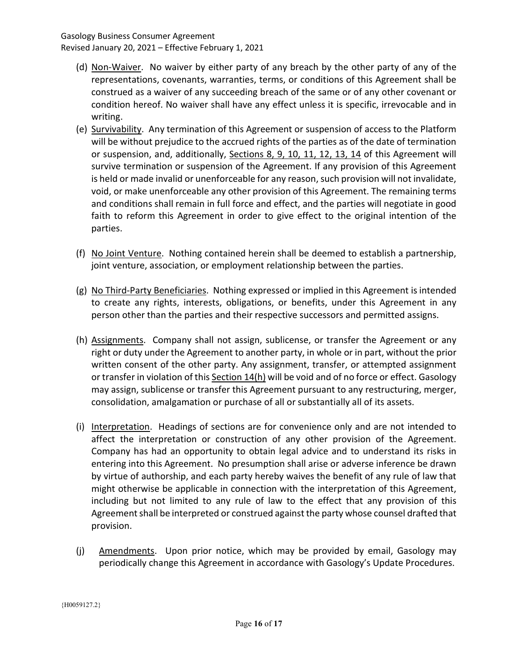- (d) Non-Waiver. No waiver by either party of any breach by the other party of any of the representations, covenants, warranties, terms, or conditions of this Agreement shall be construed as a waiver of any succeeding breach of the same or of any other covenant or condition hereof. No waiver shall have any effect unless it is specific, irrevocable and in writing.
- (e) Survivability. Any termination of this Agreement or suspension of access to the Platform will be without prejudice to the accrued rights of the parties as of the date of termination or suspension, and, additionally, Sections 8, 9, 10, 11, 12, 13, 14 of this Agreement will survive termination or suspension of the Agreement. If any provision of this Agreement is held or made invalid or unenforceable for any reason, such provision will not invalidate, void, or make unenforceable any other provision of this Agreement. The remaining terms and conditions shall remain in full force and effect, and the parties will negotiate in good faith to reform this Agreement in order to give effect to the original intention of the parties.
- (f) No Joint Venture. Nothing contained herein shall be deemed to establish a partnership, joint venture, association, or employment relationship between the parties.
- (g) No Third-Party Beneficiaries. Nothing expressed or implied in this Agreement is intended to create any rights, interests, obligations, or benefits, under this Agreement in any person other than the parties and their respective successors and permitted assigns.
- (h) Assignments. Company shall not assign, sublicense, or transfer the Agreement or any right or duty under the Agreement to another party, in whole or in part, without the prior written consent of the other party. Any assignment, transfer, or attempted assignment or transfer in violation of this Section 14(h) will be void and of no force or effect. Gasology may assign, sublicense or transfer this Agreement pursuant to any restructuring, merger, consolidation, amalgamation or purchase of all or substantially all of its assets.
- (i) Interpretation. Headings of sections are for convenience only and are not intended to affect the interpretation or construction of any other provision of the Agreement. Company has had an opportunity to obtain legal advice and to understand its risks in entering into this Agreement. No presumption shall arise or adverse inference be drawn by virtue of authorship, and each party hereby waives the benefit of any rule of law that might otherwise be applicable in connection with the interpretation of this Agreement, including but not limited to any rule of law to the effect that any provision of this Agreement shall be interpreted or construed against the party whose counsel drafted that provision.
- (j) Amendments. Upon prior notice, which may be provided by email, Gasology may periodically change this Agreement in accordance with Gasology's Update Procedures.